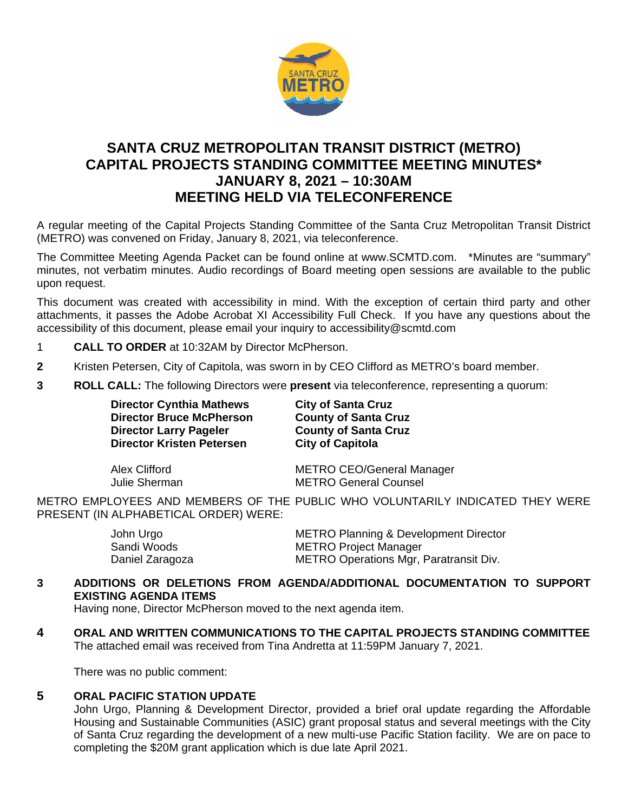

# **SANTA CRUZ METROPOLITAN TRANSIT DISTRICT (METRO) CAPITAL PROJECTS STANDING COMMITTEE MEETING MINUTES\* JANUARY 8, 2021 – 10:30AM MEETING HELD VIA TELECONFERENCE**

A regular meeting of the Capital Projects Standing Committee of the Santa Cruz Metropolitan Transit District (METRO) was convened on Friday, January 8, 2021, via teleconference.

The Committee Meeting Agenda Packet can be found online at www.SCMTD.com. \*Minutes are "summary" minutes, not verbatim minutes. Audio recordings of Board meeting open sessions are available to the public upon request.

This document was created with accessibility in mind. With the exception of certain third party and other attachments, it passes the Adobe Acrobat XI Accessibility Full Check. If you have any questions about the accessibility of this document, please email your inquiry to accessibility@scmtd.com

- 1 **CALL TO ORDER** at 10:32AM by Director McPherson.
- **2** Kristen Petersen, City of Capitola, was sworn in by CEO Clifford as METRO's board member.
- **3 ROLL CALL:** The following Directors were **present** via teleconference, representing a quorum:

| <b>Director Cynthia Mathews</b>  | <b>City of Santa Cruz</b>        |
|----------------------------------|----------------------------------|
| <b>Director Bruce McPherson</b>  | <b>County of Santa Cruz</b>      |
| <b>Director Larry Pageler</b>    | <b>County of Santa Cruz</b>      |
| <b>Director Kristen Petersen</b> | <b>City of Capitola</b>          |
| Alex Clifford                    | <b>METRO CEO/General Manager</b> |
| Julie Sherman                    | <b>METRO General Counsel</b>     |

METRO EMPLOYEES AND MEMBERS OF THE PUBLIC WHO VOLUNTARILY INDICATED THEY WERE PRESENT (IN ALPHABETICAL ORDER) WERE:

| John Urgo       | <b>METRO Planning &amp; Development Director</b> |
|-----------------|--------------------------------------------------|
| Sandi Woods     | <b>METRO Project Manager</b>                     |
| Daniel Zaragoza | METRO Operations Mgr, Paratransit Div.           |

### **3 ADDITIONS OR DELETIONS FROM AGENDA/ADDITIONAL DOCUMENTATION TO SUPPORT EXISTING AGENDA ITEMS**

Having none, Director McPherson moved to the next agenda item.

**4 ORAL AND WRITTEN COMMUNICATIONS TO THE CAPITAL PROJECTS STANDING COMMITTEE**  The attached email was received from Tina Andretta at 11:59PM January 7, 2021.

There was no public comment:

## **5 ORAL PACIFIC STATION UPDATE**

John Urgo, Planning & Development Director, provided a brief oral update regarding the Affordable Housing and Sustainable Communities (ASIC) grant proposal status and several meetings with the City of Santa Cruz regarding the development of a new multi-use Pacific Station facility. We are on pace to completing the \$20M grant application which is due late April 2021.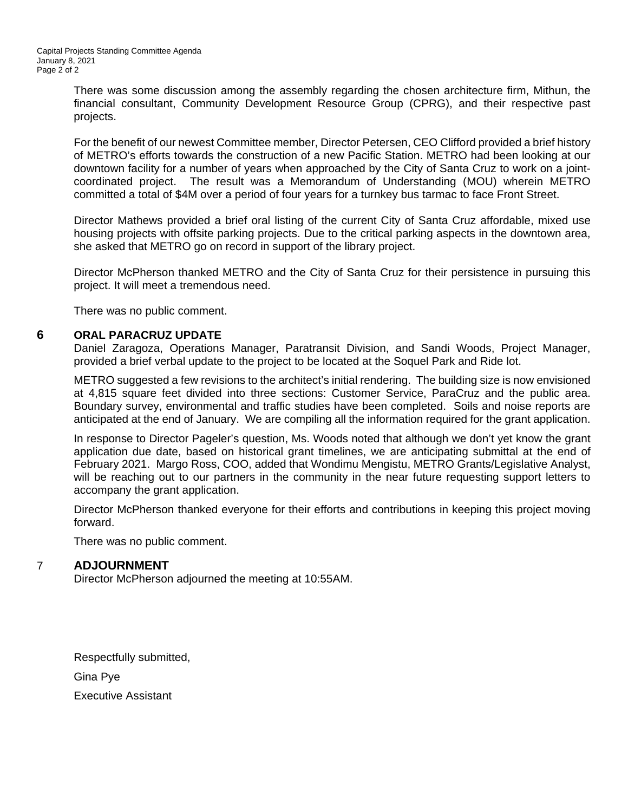There was some discussion among the assembly regarding the chosen architecture firm, Mithun, the financial consultant, Community Development Resource Group (CPRG), and their respective past projects.

For the benefit of our newest Committee member, Director Petersen, CEO Clifford provided a brief history of METRO's efforts towards the construction of a new Pacific Station. METRO had been looking at our downtown facility for a number of years when approached by the City of Santa Cruz to work on a jointcoordinated project. The result was a Memorandum of Understanding (MOU) wherein METRO committed a total of \$4M over a period of four years for a turnkey bus tarmac to face Front Street.

Director Mathews provided a brief oral listing of the current City of Santa Cruz affordable, mixed use housing projects with offsite parking projects. Due to the critical parking aspects in the downtown area, she asked that METRO go on record in support of the library project.

Director McPherson thanked METRO and the City of Santa Cruz for their persistence in pursuing this project. It will meet a tremendous need.

There was no public comment.

#### **6 ORAL PARACRUZ UPDATE**

Daniel Zaragoza, Operations Manager, Paratransit Division, and Sandi Woods, Project Manager, provided a brief verbal update to the project to be located at the Soquel Park and Ride lot.

METRO suggested a few revisions to the architect's initial rendering. The building size is now envisioned at 4,815 square feet divided into three sections: Customer Service, ParaCruz and the public area. Boundary survey, environmental and traffic studies have been completed. Soils and noise reports are anticipated at the end of January. We are compiling all the information required for the grant application.

In response to Director Pageler's question, Ms. Woods noted that although we don't yet know the grant application due date, based on historical grant timelines, we are anticipating submittal at the end of February 2021. Margo Ross, COO, added that Wondimu Mengistu, METRO Grants/Legislative Analyst, will be reaching out to our partners in the community in the near future requesting support letters to accompany the grant application.

Director McPherson thanked everyone for their efforts and contributions in keeping this project moving forward.

There was no public comment.

#### 7 **ADJOURNMENT**

Director McPherson adjourned the meeting at 10:55AM.

Respectfully submitted, Gina Pye Executive Assistant